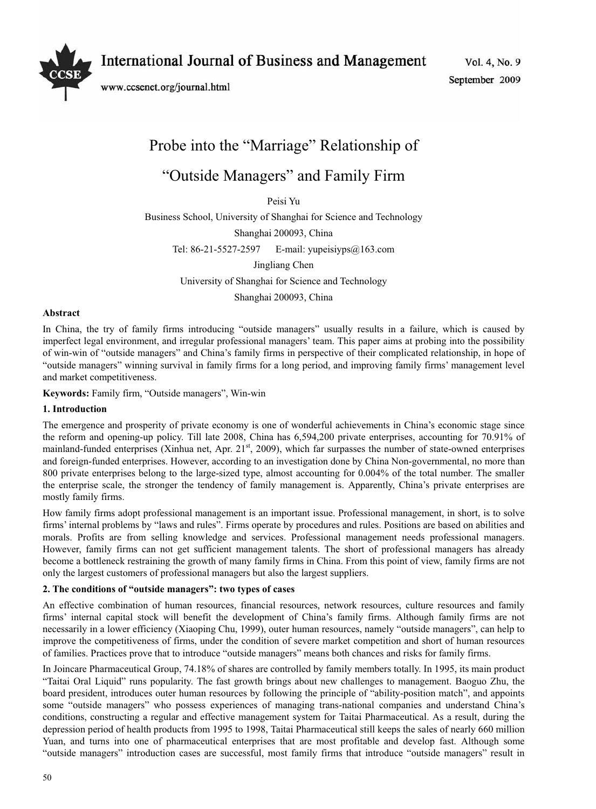**International Journal of Business and Management** 



www.ccsenet.org/journal.html

Vol. 4, No. 9 September 2009

# Probe into the "Marriage" Relationship of

# "Outside Managers" and Family Firm

Peisi Yu

Business School, University of Shanghai for Science and Technology Shanghai 200093, China

Tel: 86-21-5527-2597 E-mail: yupeisiyps@163.com

Jingliang Chen

University of Shanghai for Science and Technology

Shanghai 200093, China

### **Abstract**

In China, the try of family firms introducing "outside managers" usually results in a failure, which is caused by imperfect legal environment, and irregular professional managers' team. This paper aims at probing into the possibility of win-win of "outside managers" and China's family firms in perspective of their complicated relationship, in hope of "outside managers" winning survival in family firms for a long period, and improving family firms' management level and market competitiveness.

**Keywords:** Family firm, "Outside managers", Win-win

# **1. Introduction**

The emergence and prosperity of private economy is one of wonderful achievements in China's economic stage since the reform and opening-up policy. Till late 2008, China has 6,594,200 private enterprises, accounting for 70.91% of mainland-funded enterprises (Xinhua net, Apr.  $21^{st}$ , 2009), which far surpasses the number of state-owned enterprises and foreign-funded enterprises. However, according to an investigation done by China Non-governmental, no more than 800 private enterprises belong to the large-sized type, almost accounting for 0.004% of the total number. The smaller the enterprise scale, the stronger the tendency of family management is. Apparently, China's private enterprises are mostly family firms.

How family firms adopt professional management is an important issue. Professional management, in short, is to solve firms' internal problems by "laws and rules". Firms operate by procedures and rules. Positions are based on abilities and morals. Profits are from selling knowledge and services. Professional management needs professional managers. However, family firms can not get sufficient management talents. The short of professional managers has already become a bottleneck restraining the growth of many family firms in China. From this point of view, family firms are not only the largest customers of professional managers but also the largest suppliers.

# **2. The conditions of "outside managers": two types of cases**

An effective combination of human resources, financial resources, network resources, culture resources and family firms' internal capital stock will benefit the development of China's family firms. Although family firms are not necessarily in a lower efficiency (Xiaoping Chu, 1999), outer human resources, namely "outside managers", can help to improve the competitiveness of firms, under the condition of severe market competition and short of human resources of families. Practices prove that to introduce "outside managers" means both chances and risks for family firms.

In Joincare Pharmaceutical Group, 74.18% of shares are controlled by family members totally. In 1995, its main product "Taitai Oral Liquid" runs popularity. The fast growth brings about new challenges to management. Baoguo Zhu, the board president, introduces outer human resources by following the principle of "ability-position match", and appoints some "outside managers" who possess experiences of managing trans-national companies and understand China's conditions, constructing a regular and effective management system for Taitai Pharmaceutical. As a result, during the depression period of health products from 1995 to 1998, Taitai Pharmaceutical still keeps the sales of nearly 660 million Yuan, and turns into one of pharmaceutical enterprises that are most profitable and develop fast. Although some "outside managers" introduction cases are successful, most family firms that introduce "outside managers" result in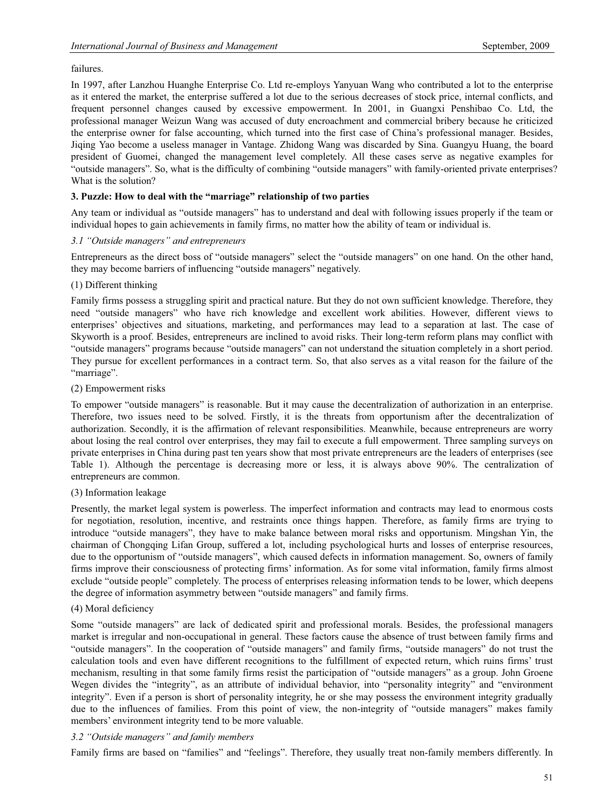#### failures.

In 1997, after Lanzhou Huanghe Enterprise Co. Ltd re-employs Yanyuan Wang who contributed a lot to the enterprise as it entered the market, the enterprise suffered a lot due to the serious decreases of stock price, internal conflicts, and frequent personnel changes caused by excessive empowerment. In 2001, in Guangxi Penshibao Co. Ltd, the professional manager Weizun Wang was accused of duty encroachment and commercial bribery because he criticized the enterprise owner for false accounting, which turned into the first case of China's professional manager. Besides, Jiqing Yao become a useless manager in Vantage. Zhidong Wang was discarded by Sina. Guangyu Huang, the board president of Guomei, changed the management level completely. All these cases serve as negative examples for "outside managers". So, what is the difficulty of combining "outside managers" with family-oriented private enterprises? What is the solution?

#### **3. Puzzle: How to deal with the "marriage" relationship of two parties**

Any team or individual as "outside managers" has to understand and deal with following issues properly if the team or individual hopes to gain achievements in family firms, no matter how the ability of team or individual is.

#### *3.1 "Outside managers" and entrepreneurs*

Entrepreneurs as the direct boss of "outside managers" select the "outside managers" on one hand. On the other hand, they may become barriers of influencing "outside managers" negatively.

#### (1) Different thinking

Family firms possess a struggling spirit and practical nature. But they do not own sufficient knowledge. Therefore, they need "outside managers" who have rich knowledge and excellent work abilities. However, different views to enterprises' objectives and situations, marketing, and performances may lead to a separation at last. The case of Skyworth is a proof. Besides, entrepreneurs are inclined to avoid risks. Their long-term reform plans may conflict with "outside managers" programs because "outside managers" can not understand the situation completely in a short period. They pursue for excellent performances in a contract term. So, that also serves as a vital reason for the failure of the "marriage".

#### (2) Empowerment risks

To empower "outside managers" is reasonable. But it may cause the decentralization of authorization in an enterprise. Therefore, two issues need to be solved. Firstly, it is the threats from opportunism after the decentralization of authorization. Secondly, it is the affirmation of relevant responsibilities. Meanwhile, because entrepreneurs are worry about losing the real control over enterprises, they may fail to execute a full empowerment. Three sampling surveys on private enterprises in China during past ten years show that most private entrepreneurs are the leaders of enterprises (see Table 1). Although the percentage is decreasing more or less, it is always above 90%. The centralization of entrepreneurs are common.

#### (3) Information leakage

Presently, the market legal system is powerless. The imperfect information and contracts may lead to enormous costs for negotiation, resolution, incentive, and restraints once things happen. Therefore, as family firms are trying to introduce "outside managers", they have to make balance between moral risks and opportunism. Mingshan Yin, the chairman of Chongqing Lifan Group, suffered a lot, including psychological hurts and losses of enterprise resources, due to the opportunism of "outside managers", which caused defects in information management. So, owners of family firms improve their consciousness of protecting firms' information. As for some vital information, family firms almost exclude "outside people" completely. The process of enterprises releasing information tends to be lower, which deepens the degree of information asymmetry between "outside managers" and family firms.

#### (4) Moral deficiency

Some "outside managers" are lack of dedicated spirit and professional morals. Besides, the professional managers market is irregular and non-occupational in general. These factors cause the absence of trust between family firms and "outside managers". In the cooperation of "outside managers" and family firms, "outside managers" do not trust the calculation tools and even have different recognitions to the fulfillment of expected return, which ruins firms' trust mechanism, resulting in that some family firms resist the participation of "outside managers" as a group. John Groene Wegen divides the "integrity", as an attribute of individual behavior, into "personality integrity" and "environment integrity". Even if a person is short of personality integrity, he or she may possess the environment integrity gradually due to the influences of families. From this point of view, the non-integrity of "outside managers" makes family members' environment integrity tend to be more valuable.

#### *3.2 "Outside managers" and family members*

Family firms are based on "families" and "feelings". Therefore, they usually treat non-family members differently. In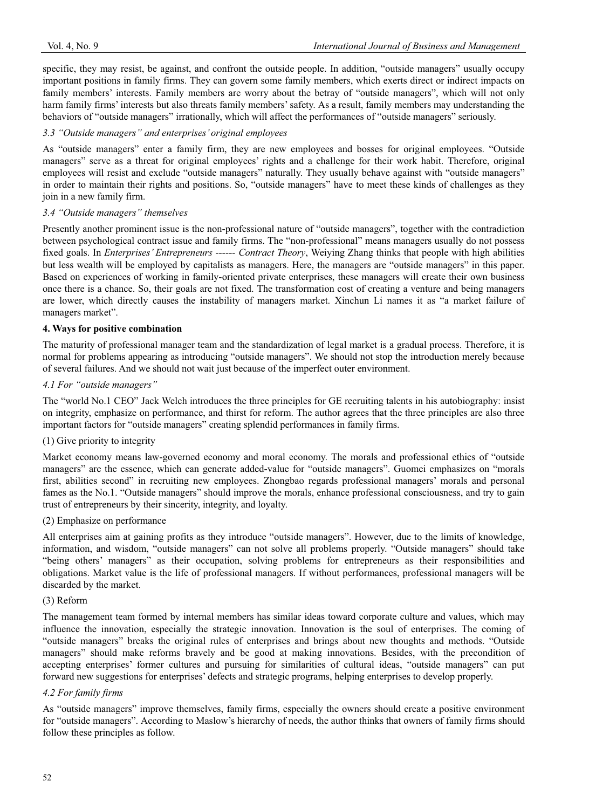specific, they may resist, be against, and confront the outside people. In addition, "outside managers" usually occupy important positions in family firms. They can govern some family members, which exerts direct or indirect impacts on family members' interests. Family members are worry about the betray of "outside managers", which will not only harm family firms' interests but also threats family members' safety. As a result, family members may understanding the behaviors of "outside managers" irrationally, which will affect the performances of "outside managers" seriously.

#### *3.3 "Outside managers" and enterprises' original employees*

As "outside managers" enter a family firm, they are new employees and bosses for original employees. "Outside managers" serve as a threat for original employees' rights and a challenge for their work habit. Therefore, original employees will resist and exclude "outside managers" naturally. They usually behave against with "outside managers" in order to maintain their rights and positions. So, "outside managers" have to meet these kinds of challenges as they join in a new family firm.

#### *3.4 "Outside managers" themselves*

Presently another prominent issue is the non-professional nature of "outside managers", together with the contradiction between psychological contract issue and family firms. The "non-professional" means managers usually do not possess fixed goals. In *Enterprises' Entrepreneurs ------ Contract Theory*, Weiying Zhang thinks that people with high abilities but less wealth will be employed by capitalists as managers. Here, the managers are "outside managers" in this paper. Based on experiences of working in family-oriented private enterprises, these managers will create their own business once there is a chance. So, their goals are not fixed. The transformation cost of creating a venture and being managers are lower, which directly causes the instability of managers market. Xinchun Li names it as "a market failure of managers market".

#### **4. Ways for positive combination**

The maturity of professional manager team and the standardization of legal market is a gradual process. Therefore, it is normal for problems appearing as introducing "outside managers". We should not stop the introduction merely because of several failures. And we should not wait just because of the imperfect outer environment.

#### *4.1 For "outside managers"*

The "world No.1 CEO" Jack Welch introduces the three principles for GE recruiting talents in his autobiography: insist on integrity, emphasize on performance, and thirst for reform. The author agrees that the three principles are also three important factors for "outside managers" creating splendid performances in family firms.

#### (1) Give priority to integrity

Market economy means law-governed economy and moral economy. The morals and professional ethics of "outside managers" are the essence, which can generate added-value for "outside managers". Guomei emphasizes on "morals first, abilities second" in recruiting new employees. Zhongbao regards professional managers' morals and personal fames as the No.1. "Outside managers" should improve the morals, enhance professional consciousness, and try to gain trust of entrepreneurs by their sincerity, integrity, and loyalty.

#### (2) Emphasize on performance

All enterprises aim at gaining profits as they introduce "outside managers". However, due to the limits of knowledge, information, and wisdom, "outside managers" can not solve all problems properly. "Outside managers" should take "being others' managers" as their occupation, solving problems for entrepreneurs as their responsibilities and obligations. Market value is the life of professional managers. If without performances, professional managers will be discarded by the market.

#### (3) Reform

The management team formed by internal members has similar ideas toward corporate culture and values, which may influence the innovation, especially the strategic innovation. Innovation is the soul of enterprises. The coming of "outside managers" breaks the original rules of enterprises and brings about new thoughts and methods. "Outside managers" should make reforms bravely and be good at making innovations. Besides, with the precondition of accepting enterprises' former cultures and pursuing for similarities of cultural ideas, "outside managers" can put forward new suggestions for enterprises' defects and strategic programs, helping enterprises to develop properly.

#### *4.2 For family firms*

As "outside managers" improve themselves, family firms, especially the owners should create a positive environment for "outside managers". According to Maslow's hierarchy of needs, the author thinks that owners of family firms should follow these principles as follow.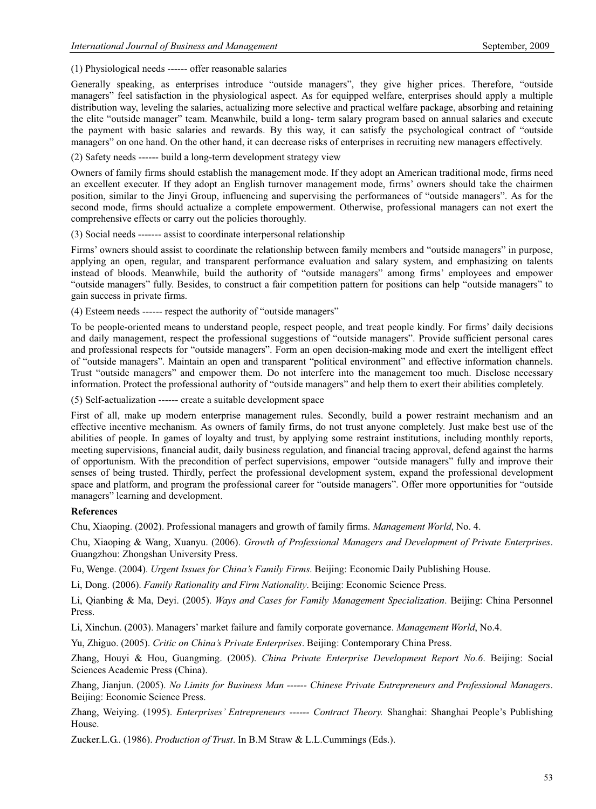(1) Physiological needs ------ offer reasonable salaries

Generally speaking, as enterprises introduce "outside managers", they give higher prices. Therefore, "outside managers" feel satisfaction in the physiological aspect. As for equipped welfare, enterprises should apply a multiple distribution way, leveling the salaries, actualizing more selective and practical welfare package, absorbing and retaining the elite "outside manager" team. Meanwhile, build a long- term salary program based on annual salaries and execute the payment with basic salaries and rewards. By this way, it can satisfy the psychological contract of "outside managers" on one hand. On the other hand, it can decrease risks of enterprises in recruiting new managers effectively.

(2) Safety needs ------ build a long-term development strategy view

Owners of family firms should establish the management mode. If they adopt an American traditional mode, firms need an excellent executer. If they adopt an English turnover management mode, firms' owners should take the chairmen position, similar to the Jinyi Group, influencing and supervising the performances of "outside managers". As for the second mode, firms should actualize a complete empowerment. Otherwise, professional managers can not exert the comprehensive effects or carry out the policies thoroughly.

(3) Social needs ------- assist to coordinate interpersonal relationship

Firms' owners should assist to coordinate the relationship between family members and "outside managers" in purpose, applying an open, regular, and transparent performance evaluation and salary system, and emphasizing on talents instead of bloods. Meanwhile, build the authority of "outside managers" among firms' employees and empower "outside managers" fully. Besides, to construct a fair competition pattern for positions can help "outside managers" to gain success in private firms.

(4) Esteem needs ------ respect the authority of "outside managers"

To be people-oriented means to understand people, respect people, and treat people kindly. For firms' daily decisions and daily management, respect the professional suggestions of "outside managers". Provide sufficient personal cares and professional respects for "outside managers". Form an open decision-making mode and exert the intelligent effect of "outside managers". Maintain an open and transparent "political environment" and effective information channels. Trust "outside managers" and empower them. Do not interfere into the management too much. Disclose necessary information. Protect the professional authority of "outside managers" and help them to exert their abilities completely.

(5) Self-actualization ------ create a suitable development space

First of all, make up modern enterprise management rules. Secondly, build a power restraint mechanism and an effective incentive mechanism. As owners of family firms, do not trust anyone completely. Just make best use of the abilities of people. In games of loyalty and trust, by applying some restraint institutions, including monthly reports, meeting supervisions, financial audit, daily business regulation, and financial tracing approval, defend against the harms of opportunism. With the precondition of perfect supervisions, empower "outside managers" fully and improve their senses of being trusted. Thirdly, perfect the professional development system, expand the professional development space and platform, and program the professional career for "outside managers". Offer more opportunities for "outside managers" learning and development.

#### **References**

Chu, Xiaoping. (2002). Professional managers and growth of family firms. *Management World*, No. 4.

Chu, Xiaoping & Wang, Xuanyu. (2006). *Growth of Professional Managers and Development of Private Enterprises*. Guangzhou: Zhongshan University Press.

Fu, Wenge. (2004). *Urgent Issues for China's Family Firms*. Beijing: Economic Daily Publishing House.

Li, Dong. (2006). *Family Rationality and Firm Nationality*. Beijing: Economic Science Press.

Li, Qianbing & Ma, Deyi. (2005). *Ways and Cases for Family Management Specialization*. Beijing: China Personnel Press.

Li, Xinchun. (2003). Managers' market failure and family corporate governance. *Management World*, No.4.

Yu, Zhiguo. (2005). *Critic on China's Private Enterprises*. Beijing: Contemporary China Press.

Zhang, Houyi & Hou, Guangming. (2005). *China Private Enterprise Development Report No.6*. Beijing: Social Sciences Academic Press (China).

Zhang, Jianjun. (2005). *No Limits for Business Man ------ Chinese Private Entrepreneurs and Professional Managers*. Beijing: Economic Science Press.

Zhang, Weiying. (1995). *Enterprises' Entrepreneurs ------ Contract Theory.* Shanghai: Shanghai People's Publishing House.

Zucker.L.G.. (1986). *Production of Trust*. In B.M Straw & L.L.Cummings (Eds.).